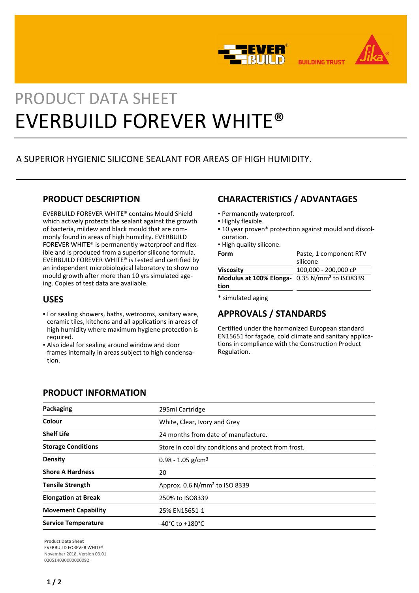



**BUILDING TRUST** 

# PRODUCT DATA SHEET EVERBUILD FOREVER WHITE®

# A SUPERIOR HYGIENIC SILICONE SEALANT FOR AREAS OF HIGH HUMIDITY.

#### **PRODUCT DESCRIPTION**

EVERBUILD FOREVER WHITE® contains Mould Shield which actively protects the sealant against the growth of bacteria, mildew and black mould that are commonly found in areas of high humidity. EVERBUILD FOREVER WHITE® is permanently waterproof and flexible and is produced from a superior silicone formula. EVERBUILD FOREVER WHITE® is tested and certified by an independent microbiological laboratory to show no mould growth after more than 10 yrs simulated ageing. Copies of test data are available.

#### **USES**

- For sealing showers, baths, wetrooms, sanitary ware, ceramic tiles, kitchens and all applications in areas of high humidity where maximum hygiene protection is required.
- Also ideal for sealing around window and door frames internally in areas subject to high condensation.

# **CHARACTERISTICS / ADVANTAGES**

- Permanently waterproof.
- Highly flexible.
- 10 year proven\* protection against mould and discol-▪ ouration.
- **.** High quality silicone.

| Form                                                              | Paste, 1 component RTV |
|-------------------------------------------------------------------|------------------------|
|                                                                   | silicone               |
| Viscosity                                                         | 100,000 - 200,000 cP   |
| Modulus at 100% Elonga- 0.35 N/mm <sup>2</sup> to ISO8339<br>tion |                        |
|                                                                   |                        |

\* simulated aging

## **APPROVALS / STANDARDS**

Certified under the harmonized European standard EN15651 for façade, cold climate and sanitary applications in compliance with the Construction Product Regulation.

#### **PRODUCT INFORMATION**

| <b>Packaging</b>           | 295ml Cartridge                                      |
|----------------------------|------------------------------------------------------|
| Colour                     | White, Clear, Ivory and Grey                         |
| <b>Shelf Life</b>          | 24 months from date of manufacture.                  |
| <b>Storage Conditions</b>  | Store in cool dry conditions and protect from frost. |
| Density                    | $0.98 - 1.05$ g/cm <sup>3</sup>                      |
| <b>Shore A Hardness</b>    | 20                                                   |
| <b>Tensile Strength</b>    | Approx. 0.6 N/mm <sup>2</sup> to ISO 8339            |
| <b>Elongation at Break</b> | 250% to ISO8339                                      |
| <b>Movement Capability</b> | 25% EN15651-1                                        |
| <b>Service Temperature</b> | $-40^{\circ}$ C to $+180^{\circ}$ C                  |

**Product Data Sheet** EVERBUILD FOREVER WHITE® November 2018, Version 03.01 020514030000000092